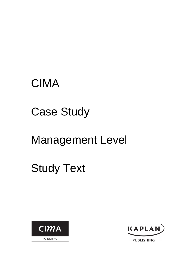# **CIMA**

# Case Study

# Management Level

# Study Text



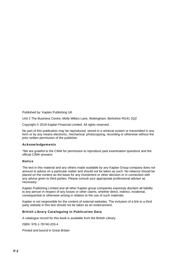Published by: Kaplan Publishing UK

Unit 2 The Business Centre, Molly Millars Lane, Wokingham, Berkshire RG41 2QZ

Copyright © 2019 Kaplan Financial Limited. All rights reserved.

No part of this publication may be reproduced, stored in a retrieval system or transmitted in any form or by any means electronic, mechanical, photocopying, recording or otherwise without the prior written permission of the publisher.

### Acknowledgements

"We are grateful to the CIMA for permission to reproduce past examination questions and the official CIMA answers

### **Notice**

The text in this material and any others made available by any Kaplan Group company does not amount to advice on a particular matter and should not be taken as such. No reliance should be placed on the content as the basis for any investment or other decision or in connection with any advice given to third parties. Please consult your appropriate professional adviser as necessary.

Kaplan Publishing Limited and all other Kaplan group companies expressly disclaim all liability to any person in respect of any losses or other claims, whether direct, indirect, incidental, consequential or otherwise arising in relation to the use of such materials.

Kaplan is not responsible for the content of external websites. The inclusion of a link to a third party website in this text should not be taken as an endorsement.

### British Library Cataloguing in Publication Data

A catalogue record for this book is available from the British Library.

ISBN: 978-1-78740-203-4

Printed and bound in Great Britain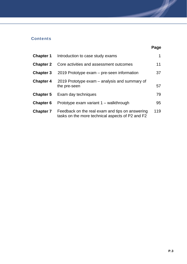### **Contents**

|                  | <b>Chapter 1</b> Introduction to case study exams                                                   | 1   |
|------------------|-----------------------------------------------------------------------------------------------------|-----|
| <b>Chapter 2</b> | Core activities and assessment outcomes                                                             | 11  |
| <b>Chapter 3</b> | 2019 Prototype exam – pre-seen information                                                          | 37  |
| <b>Chapter 4</b> | 2019 Prototype exam – analysis and summary of<br>the pre-seen                                       | 57  |
| <b>Chapter 5</b> | Exam day techniques                                                                                 | 79  |
| <b>Chapter 6</b> | Prototype exam variant 1 - walkthrough                                                              | 95  |
| <b>Chapter 7</b> | Feedback on the real exam and tips on answering<br>tasks on the more technical aspects of P2 and F2 | 119 |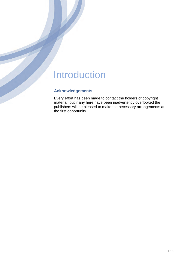## Introduction

### **Acknowledgements**

Every effort has been made to contact the holders of copyright material, but if any here have been inadvertently overlooked the publishers will be pleased to make the necessary arrangements at the first opportunity..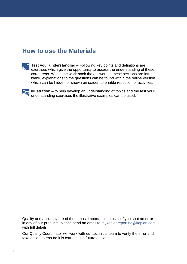## **How to use the Materials**



**Test your understanding** – Following key points and definitions are exercises which give the opportunity to assess the understanding of these core areas. Within the work book the answers to these sections are left blank, explanations to the questions can be found within the online version which can be hidden or shown on screen to enable repetition of activities.



**Illustration** – to help develop an understanding of topics and the test your understanding exercises the illustrative examples can be used.

Quality and accuracy are of the utmost importance to us so if you spot an error in any of our products, please send an email to mykaplanreporting@kaplan.com with full details.

Our Quality Coordinator will work with our technical team to verify the error and take action to ensure it is corrected in future editions.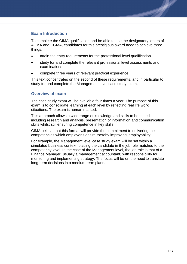### **Exam Introduction**

To complete the CIMA qualification and be able to use the designatory letters of ACMA and CGMA, candidates for this prestigious award need to achieve three things:

- attain the entry requirements for the professional level qualification
- study for and complete the relevant professional level assessments and examinations
- complete three years of relevant practical experience

This text concentrates on the second of these requirements, and in particular to study for and complete the Management level case study exam.

### **Overview of exam**

The case study exam will be available four times a year. The purpose of this exam is to consolidate learning at each level by reflecting real life work situations. The exam is human marked.

This approach allows a wide range of knowledge and skills to be tested including research and analysis, presentation of information and communication skills whilst still ensuring competence in key skills.

CIMA believe that this format will provide the commitment to delivering the competencies which employer's desire thereby improving 'employability'.

For example, the Management level case study exam will be set within a simulated business context, placing the candidate in the job role matched to the competency level. In the case of the Management level, the job role is that of a Finance Manager (usually a management accountant) with responsibility for monitoring and implementing strategy. The focus will be on the need to translate long-term decisions into medium-term plans.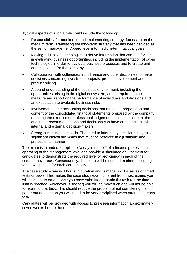Typical aspects of such a role could include the following:

- Responsibility for monitoring and implementing strategy, focussing on the medium term. Translating the long-term strategy that has been decided at the senior management/board level into medium-term, tactical goals.
- Making full use of technologies to derive information that can be of value in evaluating business opportunities, including the implementation of cyber technologies in order to evaluate business processes and to create and enhance value for the company
- Collaboration with colleagues from finance and other disciplines to make decisions concerning investment projects, product development and product pricing.
- A sound understanding of the business environment, including the opportunities arising in the digital ecosystem, and a requirement to measure and report on the performance of individuals and divisions and an expectation to evaluate business risks
- Involvement in the accounting decisions that affect the preparation and content of the consolidated financial statements prepared by the company, requiring the exercise of professional judgement taking into account the effect that recommendations and decisions can have on the actions of internal and external decision-makers.
- Strong communication skills. The need to inform key decisions may raise significant ethical dilemmas that must be resolved in a justifiable and professional manner.

The exam is intended to replicate "a day in the life" of a finance professional operating at the Management level and provide a simulated environment for candidates to demonstrate the required level of proficiency in each of the competency areas. Consequently, the exam will be set and marked according to the weightings for each core activity.

The case study exam is 3 hours in duration and is made up of a series of timed tests or tasks. This makes the case study exam different from most exams you will have sat to date – once you have submitted a particular task (or the time limit is reached, whichever is sooner) you will be moved on and will not be able to return to that task. This should reduce the problem of not completing the paper but does mean you will need to be very disciplined when attempting each task.

Candidates will be provided with access to pre-seen information approximately seven weeks before the real exam.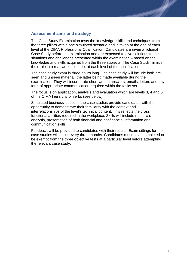### **Assessment aims and strategy**

The Case Study Examination tests the knowledge, skills and techniques from the three pillars within one simulated scenario and is taken at the end of each level of the CIMA Professional Qualification. Candidates are given a fictional Case Study before the examination and are expected to give solutions to the situations and challenges presented within the examination – based on the knowledge and skills acquired from the three subjects. The Case Study mimics their role in a real-work scenario, at each level of the qualification.

The case study exam is three hours long. The case study will include both preseen and unseen material, the latter being made available during the examination. They will incorporate short written answers, emails, letters and any form of appropriate communication required within the tasks set.

The focus is on application, analysis and evaluation which are levels 3, 4 and 5 of the CIMA hierarchy of verbs (see below).

Simulated business issues in the case studies provide candidates with the opportunity to demonstrate their familiarity with the context and interrelationships of the level's technical content. This reflects the cross functional abilities required in the workplace. Skills will include research, analysis, presentation of both financial and nonfinancial information and communication skills.

Feedback will be provided to candidates with their results. Exam sittings for the case studies will occur every three months. Candidates must have completed or be exempt from the three objective tests at a particular level before attempting the relevant case study.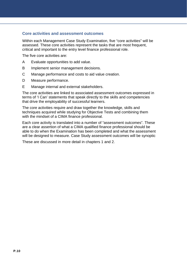### **Core activities and assessment outcomes**

Within each Management Case Study Examination, five "core activities" will be assessed. These core activities represent the tasks that are most frequent, critical and important to the entry level finance professional role.

The five core activities are:

- A Evaluate opportunities to add value.
- B Implement senior management decisions.
- C Manage performance and costs to aid value creation.
- D Measure performance.
- E Manage internal and external stakeholders.

The core activities are linked to associated assessment outcomes expressed in terms of 'I Can' statements that speak directly to the skills and competencies that drive the employability of successful learners.

The core activities require and draw together the knowledge, skills and techniques acquired while studying for Objective Tests and combining them with the mindset of a CIMA finance professional.

Each core activity is translated into a number of "assessment outcomes". These are a clear assertion of what a CIMA qualified finance professional should be able to do when the Examination has been completed and what the assessment will be designed to measure. Case Study assessment outcomes will be synoptic

These are discussed in more detail in chapters 1 and 2.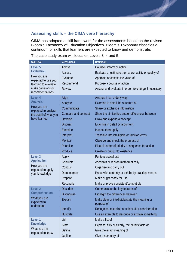### **Assessing skills – the CIMA verb hierarchy**

CIMA has adopted a skill framework for the assessments based on the revised Bloom's Taxonomy of Education Objectives. Bloom's Taxonomy classifies a continuum of skills that learners are expected to know and demonstrate.

| <b>Skill level</b>                            | <b>Verbs used</b>    | <b>Definition</b>                                             |  |  |
|-----------------------------------------------|----------------------|---------------------------------------------------------------|--|--|
| Level 5                                       | Advise               | Counsel, inform or notify                                     |  |  |
| <b>Evaluation</b>                             | <b>Assess</b>        | Evaluate or estimate the nature, ability or quality of        |  |  |
| How you are<br>expected to use your           | Evaluate             | Appraise or assess the value of                               |  |  |
| learning to evaluate,                         | Recommend            | Propose a course of action                                    |  |  |
| make decisions or<br>recommendations          | <b>Review</b>        | Assess and evaluate in order, to change if necessary          |  |  |
| Level 4                                       | Align                | Arrange in an orderly way                                     |  |  |
| <b>Analysis</b>                               | Analyse              | Examine in detail the structure of                            |  |  |
| How you are                                   | Communicate          | Share or exchange information                                 |  |  |
| expected to analyse<br>the detail of what you | Compare and contrast | Show the similarities and/or differences between              |  |  |
| have learned                                  | Develop              | Grow and expand a concept                                     |  |  |
|                                               | <b>Discuss</b>       | Examine in detail by argument                                 |  |  |
|                                               | Examine              | Inspect thoroughly                                            |  |  |
|                                               | Interpret            | Translate into intelligible or familiar terms                 |  |  |
|                                               | <b>Monitor</b>       | Observe and check the progress of                             |  |  |
|                                               | Prioritise           | Place in order of priority or sequence for action             |  |  |
|                                               | Produce              | Create or bring into existence                                |  |  |
| Level 3                                       | Apply                | Put to practical use                                          |  |  |
| <b>Application</b>                            | Calculate            | Ascertain or reckon mathematically                            |  |  |
| How you are<br>expected to apply              | Conduct              | Organise and carry out                                        |  |  |
| your knowledge                                | Demonstrate          | Prove with certainty or exhibit by practical means            |  |  |
|                                               | Prepare              | Make or get ready for use                                     |  |  |
|                                               | Reconcile            | Make or prove consistent/compatible                           |  |  |
| Level <sub>2</sub>                            | <b>Describe</b>      | Communicate the key features of                               |  |  |
| Comprehension                                 | <b>Distinguish</b>   | Highlight the differences between                             |  |  |
| What you are<br>expected to<br>understand     | <b>Explain</b>       | Make clear or intelligible/state the meaning or<br>purpose of |  |  |
|                                               | Identify             | Recognise, establish or select after consideration            |  |  |
|                                               | Illustrate           | Use an example to describe or explain something               |  |  |
| Level 1                                       | List                 | Make a list of                                                |  |  |
| Knowledge                                     | <b>State</b>         | Express, fully or clearly, the details/facts of               |  |  |
| What you are<br>expected to know              | <b>Define</b>        | Give the exact meaning of                                     |  |  |
|                                               | Outline              | Give a summary of                                             |  |  |

The case study exam will focus on Levels 3, 4 and 5.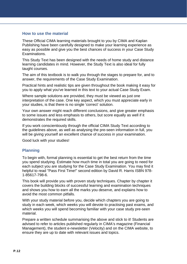### **How to use the material**

These Official CIMA learning materials brought to you by CIMA and Kaplan Publishing have been carefully designed to make your learning experience as easy as possible and give you the best chances of success in your Case Study **Examinations** 

This Study Text has been designed with the needs of home study and distance learning candidates in mind. However, the Study Text is also ideal for fully taught courses.

The aim of this textbook is to walk you through the stages to prepare for, and to answer, the requirements of the Case Study Examination.

Practical hints and realistic tips are given throughout the book making it easy for you to apply what you've learned in this text to your actual Case Study Exam.

Where sample solutions are provided, they must be viewed as just one interpretation of the case. One key aspect, which you must appreciate early in your studies, is that there is no single 'correct' solution.

Your own answer might reach different conclusions, and give greater emphasis to some issues and less emphasis to others, but score equally as well if it demonstrates the required skills.

If you work conscientiously through the official CIMA Study Text according to the guidelines above, as well as analysing the pre-seen information in full, you will be giving yourself an excellent chance of success in your examination.

Good luck with your studies!

### **Planning**

To begin with, formal planning is essential to get the best return from the time you spend studying. Estimate how much time in total you are going to need for each subject you are studying for the Case Study Examination. You may find it helpful to read "Pass First Time!" second edition by David R. Harris ISBN 978- 1-85617-798-6.

This book will provide you with proven study techniques. Chapter by chapter it covers the building blocks of successful learning and examination techniques and shows you how to earn all the marks you deserve, and explains how to avoid the most common pitfalls.

With your study material before you, decide which chapters you are going to study in each week, which weeks you will devote to practising past exams, and which weeks you will spend becoming familiar with your case study pre-seen material.

Prepare a written schedule summarising the above and stick to it! Students are advised to refer to articles published regularly in CIMA's magazine (Financial Management), the student e-newsletter (Velocity) and on the CIMA website, to ensure they are up to date with relevant issues and topics.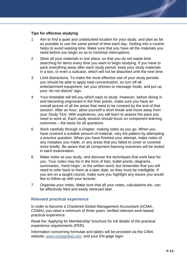### **Tips for effective studying**

- 1 Aim to find a quiet and undisturbed location for your study, and plan as far as possible to use the same period of time each day. Getting into a routine helps to avoid wasting time. Make sure that you have all the materials you need before you begin so as to minimise interruptions.
- 2 Store all your materials in one place, so that you do not waste time searching for items every time you want to begin studying. If you have to pack everything away after each study period, keep your study materials in a box, or even a suitcase, which will not be disturbed until the next time.
- 3 Limit distractions. To make the most effective use of your study periods you should be able to apply total concentration, so turn off all entertainment equipment, set your phones to message mode, and put up your 'do not disturb' sign.
- 4 Your timetable will tell you which topic to study. However, before diving in and becoming engrossed in the finer points, make sure you have an overall picture of all the areas that need to be covered by the end of that session. After an hour, allow yourself a short break and move away from your Study Text. With experience, you will learn to assess the pace you need to work at. Each study session should focus on component learning outcomes – the basis for all questions.
- 5 Work carefully through a chapter, making notes as you go. When you have covered a suitable amount of material, vary the pattern by attempting a practice question. When you have finished your attempt, make notes of any mistakes you made, or any areas that you failed to cover or covered more briefly. Be aware that all component learning outcomes will be tested in each examination.
- 6 Make notes as you study, and discover the techniques that work best for you. Your notes may be in the form of lists, bullet points, diagrams, summaries, 'mind maps', or the written word, but remember that you will need to refer back to them at a later date, so they must be intelligible. If you are on a taught course, make sure you highlight any issues you would like to follow up with your lecturer.
- 7 Organise your notes. Make sure that all your notes, calculations etc. can be effectively filed and easily retrieved later.

### **Relevant practical experience**

In order to become a Chartered Global Management Accountant (ACMA, CGMA), you need a minimum of three years' verified relevant work-based practical experience.

Read the 'Applying for Membership' brochure for full details of the practical experience requirements (PER).

Information concerning formulae and tables will be provided via the CIMA website, www.cimaglobal.com, and your EN-gage login.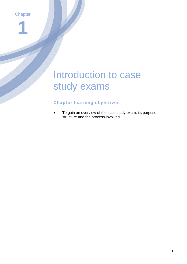### **Chapter**

**1** 

## Introduction to case study exams

### Chapter learning objectives

 To gain an overview of the case study exam, its purpose, structure and the process involved.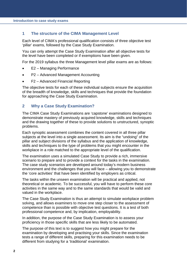### **1 The structure of the CIMA Management Level**

Each level of CIMA's professional qualification consists of three objective test 'pillar' exams, followed by the Case Study Examination.

You can only attempt the Case Study Examination after all objective tests for the level have been completed or if exemptions have been given.

For the 2019 syllabus the three Management level pillar exams are as follows:

- E2 Managing Performance
- P2 Advanced Management Accounting
- F2 Advanced Financial Reporting

The objective tests for each of these individual subjects ensure the acquisition of the breadth of knowledge, skills and techniques that provide the foundation for approaching the Case Study Examination.

### **2 Why a Case Study Examination?**

The CIMA Case Study Examinations are 'capstone' examinations designed to demonstrate mastery of previously acquired knowledge, skills and techniques and the drawing together of these to provide solutions to unstructured, synoptic problems.

Each synoptic assessment combines the content covered in all three pillar subjects at the level into a single assessment. Its aim is the "undoing" of the pillar and subject divisions of the syllabus and the application of knowledge, skills and techniques to the type of problems that you might encounter in the workplace in a role matched to the appropriate level of the qualification.

The examination uses a simulated Case Study to provide a rich, immersive scenario to prepare and to provide a context for the tasks in the examination. The case study scenarios are developed around today's modern business environment and the challenges that you will face – allowing you to demonstrate the 'core activities' that have been identified by employers as critical.

The tasks within the unseen examination will be practical and applied, not theoretical or academic. To be successful, you will have to perform these core activities in the same way and to the same standards that would be valid and valued in the workplace.

The Case Study Examination is thus an attempt to simulate workplace problem solving, and allows examiners to move one step closer to the assessment of competence than is possible with objective test questions. It is a test of both professional competence and, by implication, employability.

In addition, the purpose of the Case Study Examination is to assess your proficiency in those specific skills that are less likely to be automated.

The purpose of this text is to suggest how you might prepare for the examination by developing and practising your skills. Since the examination tests a range of different skills, preparing for this examination needs to be different from studying for a 'traditional' examination.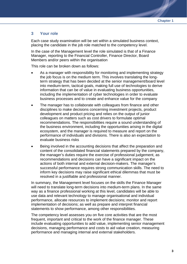### **3 Your role**

Each case study examination will be set within a simulated business context, placing the candidate in the job role matched to the competency level.

In the case of the Management level the role simulated is that of a Finance Manager, reporting to the Financial Controller, Finance Director, Board Members and/or peers within the organisation

This role can be broken down as follows:

- As a manager with responsibility for monitoring and implementing strategy the job focus is on the medium term. This involves translating the longterm strategy that has been decided at the senior management/board level into medium-term, tactical goals, making full use of technologies to derive information that can be of value in evaluating business opportunities, including the implementation of cyber technologies in order to evaluate business processes and to create and enhance value for the company
- The manager has to collaborate with colleagues from finance and other disciplines to make decisions concerning investment projects, product development and product pricing and relies on the output of junior colleagues on matters such as cost drivers to formulate optimal recommendations. The responsibilities require a sound understanding of the business environment, including the opportunities arising in the digital ecosystem, and the manager is required to measure and report on the performance of individuals and divisions. There is also an expectation to evaluate business risks
- Being involved in the accounting decisions that affect the preparation and content of the consolidated financial statements prepared by the company, the manager's duties require the exercise of professional judgement, as recommendations and decisions can have a significant impact on the actions of both internal and external decision-makers. The manager's successful performance requires strong communication skills. The need to inform key decisions may raise significant ethical dilemmas that must be resolved in a justifiable and professional manner.

In summary, the Management level focuses on the skills the Finance Manager will need to translate long-term decisions into medium-term plans. In the same way as a finance professional working at this level, candidates will be able to use data and relevant technology to manage organisational and individual performance, allocate resources to implement decisions; monitor and report implementation of decisions; as well as prepare and interpret financial statements to show performance, among other responsibilities.

The competency level assesses you on five core activities that are the most frequent, important and critical to the work of the finance manager. These include evaluating opportunities to add value, implementing senior management decisions, managing performance and costs to aid value creation, measuring performance and managing internal and external stakeholders.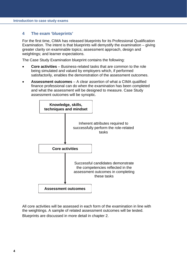### **4 The exam 'blueprints'**

For the first time, CIMA has released blueprints for its Professional Qualification Examination. The intent is that blueprints will demystify the examination – giving greater clarity on examinable topics; assessment approach, design and weightings; and learner expectations.

The Case Study Examination blueprint contains the following:

- **Core activities** Business-related tasks that are common to the role being simulated and valued by employers which, if performed satisfactorily, enables the demonstration of the assessment outcomes.
- **Assessment outcomes** A clear assertion of what a CIMA qualified finance professional can do when the examination has been completed and what the assessment will be designed to measure. Case Study assessment outcomes will be synoptic.



All core activities will be assessed in each form of the examination in line with the weightings. A sample of related assessment outcomes will be tested. Blueprints are discussed in more detail in chapter 2.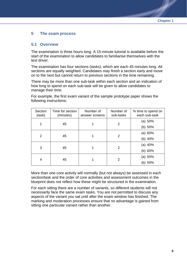### **5 The exam process**

### **5.1 Overview**

The examination is three hours long. A 15-minute tutorial is available before the start of the examination to allow candidates to familiarise themselves with the test driver.

The examination has four sections (tasks), which are each 45 minutes long. All sections are equally weighted. Candidates may finish a section early and move on to the next but cannot return to previous sections in the time remaining.

There may be more than one sub-task within each section and an indication of how long to spend on each sub-task will be given to allow candidates to manage their time.

| Section<br>(task) | Time for section<br>(minutes) | Number of<br>answer screens | Number of<br>sub-tasks | % time to spend on<br>each sub-task |
|-------------------|-------------------------------|-----------------------------|------------------------|-------------------------------------|
| 1                 | 45                            |                             | 2                      | (a) 50%                             |
|                   |                               |                             |                        | (b) $50%$                           |
| $\overline{2}$    | 45                            |                             | 2                      | (a) 60%                             |
|                   |                               |                             |                        | (b) 40%                             |
| 3                 | 45                            |                             | 2                      | (a) 40%                             |
|                   |                               |                             |                        | (b) 60%                             |
| 4                 | 45                            |                             | 2                      | (a) 50%                             |
|                   |                               |                             |                        | (b) 50%                             |

For example, the first exam variant of the sample prototype paper shows the following instructions:

More than one core activity will normally (but not always) be assessed in each section/task and the order of core activities and assessment outcomes in the blueprint does not reflect how these might be structured in the examination.

For each sitting there are a number of variants, so different students will not necessarily face the same exam tasks. You are not permitted to discuss any aspects of the variant you sat until after the exam window has finished. The marking and moderation processes ensure that no advantage is gained from sitting one particular variant rather than another.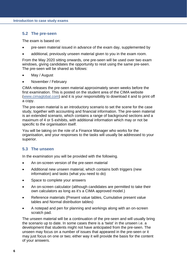### **5.2 The pre-seen**

The exam is based on:

- pre-seen material issued in advance of the exam day, supplemented by
- additional, previously unseen material given to you in the exam room.

From the May 2020 sitting onwards, one pre-seen will be used over two exam windows, giving candidates the opportunity to resit using the same pre-seen. The pre-seen will be shared as follows:

- May / August
- November / February

CIMA releases the pre-seen material approximately seven weeks before the first examination. This is posted on the student area of the CIMA website (www.cimaglobal.com) and it is your responsibility to download it and to print off a copy.

The pre-seen material is an introductory scenario to set the scene for the case study, together with accounting and financial information. The pre-seen material is an extended scenario, which contains a range of background sections and a maximum of 4 or 5 exhibits, with additional information which may or not be specific to the organisation itself.

You will be taking on the role of a Finance Manager who works for the organisation, and your responses to the tasks will usually be addressed to your superior.

### **5.3 The unseen**

In the examination you will be provided with the following.

- An on-screen version of the pre-seen material
- Additional new unseen material, which contains both triggers (new information) and tasks (what you need to do)
- Space to complete your answers
- An on-screen calculator (although candidates are permitted to take their own calculators as long as it's a CIMA approved model.)
- Reference materials (Present value tables, Cumulative present value tables and Normal distribution tables)
- A notepad and pen for planning and workings along with an on-screen scratch pad.

The unseen material will be a continuation of the pre-seen and will usually bring the scenario up to date. In some cases there is a 'twist' in the unseen i.e. a development that students might not have anticipated from the pre-seen. The unseen may focus on a number of issues that appeared in the pre-seen or it may just focus on one or two; either way it will provide the basis for the content of your answers.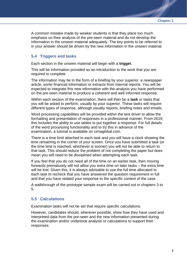A common mistake made by weaker students is that they place too much emphasis on their analysis of the pre-seen material and do not develop the information in the unseen material adequately. The key points to be referred to in your answer should be driven by the new information in the unseen material.

### **5.4 Triggers and tasks**

Each section in the unseen material will begin with a **trigger.**

This will be information provided as an introduction to the work that you are required to complete.

The information may be in the form of a briefing by your superior, a newspaper article, some financial information or extracts from internal reports. You will be expected to integrate this new information with the analysis you have performed on the pre-seen material to produce a coherent and well informed response.

Within each section of the examination, there will then be a **task** or tasks that you will be asked to perform, usually by your superior. These tasks will require different types of response, although usually reports, briefing notes and emails.

Word processing capabilities will be provided within the test driver to allow the formatting and presentation of responses in a professional manner. From 2019, this includes the ability to use tables to put together a response. For full details of the word processing functionality and to try this in advance of the examination, a tutorial is available on cimaglobal.com.

There is a time limit attached to each task and you will have a clock showing the time remaining in the corner of your screen. Once you have submitted a task (or the time limit is reached, whichever is sooner) you will not be able to return to that task. This should reduce the problem of not completing the paper but does mean you will need to be disciplined when attempting each task.

If you feel that you do not need all of the time on an earlier task, then moving forwards prematurely will not allow you extra time on later tasks – the extra time will be lost. Given this, it is always advisable to use the full time allocated to each task to recheck that you have answered the question requirement in full and that you have related your response to the specific context of the case.

A walkthrough of the prototype sample exam will be carried out in chapters 3 to 5.

### **5.5 Calculations**

Examination tasks will not be set that require specific calculations.

However, candidates should, wherever possible, show how they have used and interpreted data from the pre-seen and the new information presented during the examination and/or undertook analysis or calculations to support their responses.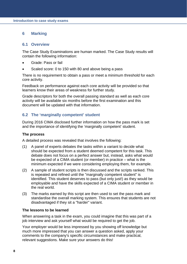### **6 Marking**

### **6.1 Overview**

The Case Study Examinations are human marked. The Case Study results will contain the following information:

- Grade: Pass or fail
- Scaled score: 0 to 150 with 80 and above being a pass

There is no requirement to obtain a pass or meet a minimum threshold for each core activity.

Feedback on performance against each core activity will be provided so that learners know their areas of weakness for further study.

Grade descriptors for both the overall passing standard as well as each core activity will be available six months before the first examination and this document will be updated with that information.

### **6.2 The 'marginally competent' student**

During 2016 CIMA disclosed further information on how the pass mark is set and the importance of identifying the 'marginally competent' student.

### **The process**

A detailed process was revealed that involves the following:

- (1) A panel of experts debates the tasks within a variant to decide what should be expected from a student deemed competent for this task. This debate does not focus on a perfect answer but, instead, asks what would be expected of a CIMA student (or member) in practice – what is the minimum expected if we were considering employing them, for example.
- (2) A sample of student scripts is then discussed and the scripts ranked. This is repeated and refined until the "marginally competent student" is identified. This student deserves to pass (but only just!) as they would be employable and have the skills expected of a CIMA student or member in the real world.
- (3) The marks earned by this script are then used to set the pass mark and standardise the overall marking system. This ensures that students are not disadvantaged if they sit a "harder" variant.

### **The lessons to be learned**

When answering a task in the exam, you could imagine that this was part of a job interview and ask yourself what would be required to get the job.

Your employer would be less impressed by you showing off knowledge but much more impressed that you can answer a question asked, apply your comments to the company's specific circumstances and make practical, relevant suggestions. Make sure your answers do this!